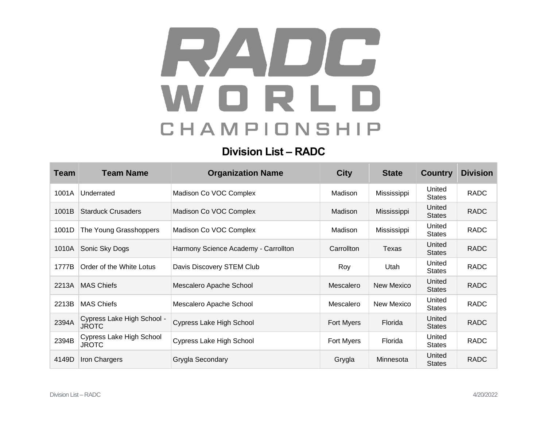## RADIC WORLD CHAMPIONSHIP

## **Division List – RADC**

| <b>Team</b> | <b>Team Name</b>                           | <b>Organization Name</b>             | <b>City</b> | <b>State</b> | <b>Country</b>          | <b>Division</b> |
|-------------|--------------------------------------------|--------------------------------------|-------------|--------------|-------------------------|-----------------|
| 1001A       | Underrated                                 | Madison Co VOC Complex               | Madison     | Mississippi  | United<br><b>States</b> | <b>RADC</b>     |
| 1001B       | <b>Starduck Crusaders</b>                  | Madison Co VOC Complex               | Madison     | Mississippi  | United<br><b>States</b> | <b>RADC</b>     |
| 1001D       | The Young Grasshoppers                     | Madison Co VOC Complex               | Madison     | Mississippi  | United<br><b>States</b> | <b>RADC</b>     |
| 1010A       | Sonic Sky Dogs                             | Harmony Science Academy - Carrollton | Carrollton  | Texas        | United<br><b>States</b> | <b>RADC</b>     |
| 1777B       | Order of the White Lotus                   | Davis Discovery STEM Club            | Roy         | Utah         | United<br><b>States</b> | <b>RADC</b>     |
| 2213A       | <b>MAS Chiefs</b>                          | Mescalero Apache School              | Mescalero   | New Mexico   | United<br><b>States</b> | <b>RADC</b>     |
| 2213B       | <b>MAS Chiefs</b>                          | Mescalero Apache School              | Mescalero   | New Mexico   | United<br><b>States</b> | <b>RADC</b>     |
| 2394A       | Cypress Lake High School -<br><b>JROTC</b> | Cypress Lake High School             | Fort Myers  | Florida      | United<br><b>States</b> | <b>RADC</b>     |
| 2394B       | Cypress Lake High School<br><b>JROTC</b>   | Cypress Lake High School             | Fort Myers  | Florida      | United<br><b>States</b> | <b>RADC</b>     |
| 4149D       | Iron Chargers                              | Grygla Secondary                     | Grygla      | Minnesota    | United<br><b>States</b> | <b>RADC</b>     |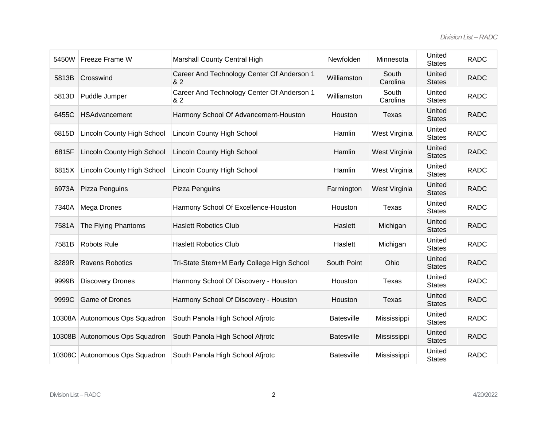| 5450W | Freeze Frame W                    | Marshall County Central High                      | Newfolden         | Minnesota         | United<br><b>States</b> | <b>RADC</b> |
|-------|-----------------------------------|---------------------------------------------------|-------------------|-------------------|-------------------------|-------------|
| 5813B | Crosswind                         | Career And Technology Center Of Anderson 1<br>& 2 | Williamston       | South<br>Carolina | United<br><b>States</b> | <b>RADC</b> |
| 5813D | Puddle Jumper                     | Career And Technology Center Of Anderson 1<br>& 2 | Williamston       | South<br>Carolina | United<br><b>States</b> | <b>RADC</b> |
| 6455C | <b>HSAdvancement</b>              | Harmony School Of Advancement-Houston             | Houston           | <b>Texas</b>      | United<br><b>States</b> | <b>RADC</b> |
| 6815D | <b>Lincoln County High School</b> | <b>Lincoln County High School</b>                 | Hamlin            | West Virginia     | United<br><b>States</b> | <b>RADC</b> |
| 6815F | <b>Lincoln County High School</b> | <b>Lincoln County High School</b>                 | Hamlin            | West Virginia     | United<br><b>States</b> | <b>RADC</b> |
| 6815X | Lincoln County High School        | <b>Lincoln County High School</b>                 | Hamlin            | West Virginia     | United<br><b>States</b> | <b>RADC</b> |
| 6973A | Pizza Penguins                    | Pizza Penguins                                    | Farmington        | West Virginia     | United<br><b>States</b> | <b>RADC</b> |
| 7340A | Mega Drones                       | Harmony School Of Excellence-Houston              | Houston           | <b>Texas</b>      | United<br><b>States</b> | <b>RADC</b> |
| 7581A | The Flying Phantoms               | <b>Haslett Robotics Club</b>                      | Haslett           | Michigan          | United<br><b>States</b> | <b>RADC</b> |
| 7581B | Robots Rule                       | <b>Haslett Robotics Club</b>                      | Haslett           | Michigan          | United<br><b>States</b> | <b>RADC</b> |
| 8289R | <b>Ravens Robotics</b>            | Tri-State Stem+M Early College High School        | South Point       | Ohio              | United<br><b>States</b> | <b>RADC</b> |
| 9999B | <b>Discovery Drones</b>           | Harmony School Of Discovery - Houston             | Houston           | <b>Texas</b>      | United<br><b>States</b> | <b>RADC</b> |
| 9999C | Game of Drones                    | Harmony School Of Discovery - Houston             | Houston           | Texas             | United<br><b>States</b> | <b>RADC</b> |
|       | 10308A Autonomous Ops Squadron    | South Panola High School Afjrotc                  | <b>Batesville</b> | Mississippi       | United<br><b>States</b> | <b>RADC</b> |
|       | 10308B Autonomous Ops Squadron    | South Panola High School Afjrotc                  | <b>Batesville</b> | Mississippi       | United<br><b>States</b> | <b>RADC</b> |
|       | 10308C Autonomous Ops Squadron    | South Panola High School Afjrotc                  | <b>Batesville</b> | Mississippi       | United<br><b>States</b> | <b>RADC</b> |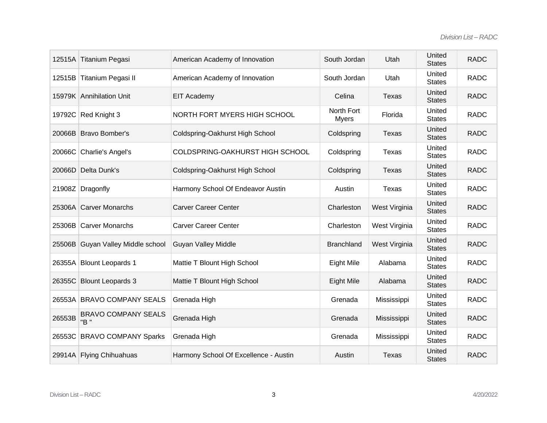|        | 12515A Titanium Pegasi             | American Academy of Innovation        | South Jordan               | Utah          | United<br><b>States</b> | <b>RADC</b> |
|--------|------------------------------------|---------------------------------------|----------------------------|---------------|-------------------------|-------------|
|        | 12515B Titanium Pegasi II          | American Academy of Innovation        | South Jordan               | Utah          | United<br><b>States</b> | <b>RADC</b> |
|        | 15979K Annihilation Unit           | <b>EIT Academy</b>                    | Celina                     | Texas         | United<br><b>States</b> | <b>RADC</b> |
|        | 19792C Red Knight 3                | NORTH FORT MYERS HIGH SCHOOL          | North Fort<br><b>Myers</b> | Florida       | United<br><b>States</b> | <b>RADC</b> |
|        | 20066B Bravo Bomber's              | Coldspring-Oakhurst High School       | Coldspring                 | Texas         | United<br><b>States</b> | <b>RADC</b> |
|        | 20066C Charlie's Angel's           | COLDSPRING-OAKHURST HIGH SCHOOL       | Coldspring                 | <b>Texas</b>  | United<br><b>States</b> | <b>RADC</b> |
| 20066D | Delta Dunk's                       | Coldspring-Oakhurst High School       | Coldspring                 | Texas         | United<br><b>States</b> | <b>RADC</b> |
|        | 21908Z Dragonfly                   | Harmony School Of Endeavor Austin     | Austin                     | Texas         | United<br><b>States</b> | <b>RADC</b> |
|        | 25306A Carver Monarchs             | <b>Carver Career Center</b>           | Charleston                 | West Virginia | United<br><b>States</b> | <b>RADC</b> |
|        | 25306B Carver Monarchs             | <b>Carver Career Center</b>           | Charleston                 | West Virginia | United<br><b>States</b> | <b>RADC</b> |
|        | 25506B Guyan Valley Middle school  | <b>Guyan Valley Middle</b>            | <b>Branchland</b>          | West Virginia | United<br><b>States</b> | <b>RADC</b> |
|        | 26355A Blount Leopards 1           | Mattie T Blount High School           | Eight Mile                 | Alabama       | United<br><b>States</b> | <b>RADC</b> |
|        | 26355C Blount Leopards 3           | Mattie T Blount High School           | Eight Mile                 | Alabama       | United<br><b>States</b> | <b>RADC</b> |
|        | 26553A BRAVO COMPANY SEALS         | Grenada High                          | Grenada                    | Mississippi   | United<br><b>States</b> | <b>RADC</b> |
| 26553B | <b>BRAVO COMPANY SEALS</b><br>"B " | Grenada High                          | Grenada                    | Mississippi   | United<br><b>States</b> | <b>RADC</b> |
|        | 26553C BRAVO COMPANY Sparks        | Grenada High                          | Grenada                    | Mississippi   | United<br><b>States</b> | <b>RADC</b> |
|        | 29914A Flying Chihuahuas           | Harmony School Of Excellence - Austin | Austin                     | <b>Texas</b>  | United<br><b>States</b> | <b>RADC</b> |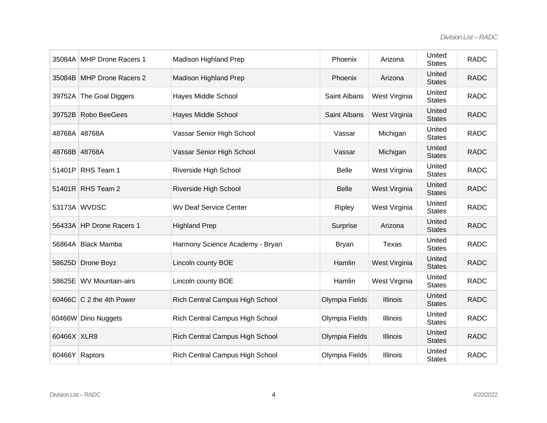| 35084A        | <b>MHP Drone Racers 1</b>             | Madison Highland Prep           | Phoenix             | Arizona         | United<br><b>States</b> | <b>RADC</b> |
|---------------|---------------------------------------|---------------------------------|---------------------|-----------------|-------------------------|-------------|
|               | 35084B MHP Drone Racers 2             | <b>Madison Highland Prep</b>    | Phoenix             | Arizona         | United<br><b>States</b> | <b>RADC</b> |
|               | 39752A The Goal Diggers               | Hayes Middle School             | Saint Albans        | West Virginia   | United<br><b>States</b> | <b>RADC</b> |
|               | 39752B Robo BeeGees                   | Hayes Middle School             | <b>Saint Albans</b> | West Virginia   | United<br><b>States</b> | <b>RADC</b> |
| 48768A 48768A |                                       | Vassar Senior High School       | Vassar              | Michigan        | United<br><b>States</b> | <b>RADC</b> |
| 48768B 48768A |                                       | Vassar Senior High School       | Vassar              | Michigan        | United<br><b>States</b> | <b>RADC</b> |
|               | 51401P RHS Team 1                     | Riverside High School           | <b>Belle</b>        | West Virginia   | United<br><b>States</b> | <b>RADC</b> |
|               | 51401R RHS Team 2                     | Riverside High School           | <b>Belle</b>        | West Virginia   | United<br><b>States</b> | <b>RADC</b> |
|               | 53173A WVDSC                          | <b>Wv Deaf Service Center</b>   | Ripley              | West Virginia   | United<br><b>States</b> | <b>RADC</b> |
|               | 56433A HP Drone Racers 1              | <b>Highland Prep</b>            | Surprise            | Arizona         | United<br><b>States</b> | <b>RADC</b> |
|               | 56864A Black Mamba                    | Harmony Science Academy - Bryan | <b>Bryan</b>        | Texas           | United<br><b>States</b> | <b>RADC</b> |
|               | 58625D Drone Boyz                     | Lincoln county BOE              | Hamlin              | West Virginia   | United<br><b>States</b> | <b>RADC</b> |
|               | 58625E WV Mountain-airs               | Lincoln county BOE              | Hamlin              | West Virginia   | United<br><b>States</b> | <b>RADC</b> |
|               | 60466C $\overline{C}$ 2 the 4th Power | Rich Central Campus High School | Olympia Fields      | <b>Illinois</b> | United<br><b>States</b> | <b>RADC</b> |
|               | 60466W Dino Nuggets                   | Rich Central Campus High School | Olympia Fields      | <b>Illinois</b> | United<br><b>States</b> | <b>RADC</b> |
| 60466X XLR8   |                                       | Rich Central Campus High School | Olympia Fields      | Illinois        | United<br><b>States</b> | <b>RADC</b> |
|               | 60466Y Raptors                        | Rich Central Campus High School | Olympia Fields      | <b>Illinois</b> | United<br><b>States</b> | <b>RADC</b> |